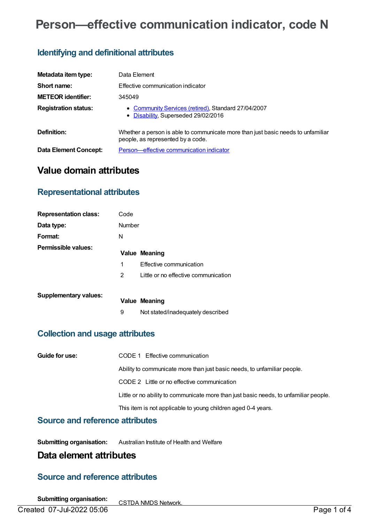# **Person—effective communication indicator, code N**

# **Identifying and definitional attributes**

| Metadata item type:         | Data Element                                                                                                          |
|-----------------------------|-----------------------------------------------------------------------------------------------------------------------|
| Short name:                 | Effective communication indicator                                                                                     |
| <b>METEOR identifier:</b>   | 345049                                                                                                                |
| <b>Registration status:</b> | • Community Services (retired), Standard 27/04/2007<br>• Disability, Superseded 29/02/2016                            |
| Definition:                 | Whether a person is able to communicate more than just basic needs to unfamiliar<br>people, as represented by a code. |
| Data Element Concept:       | Person-effective communication indicator                                                                              |

# **Value domain attributes**

# **Representational attributes**

| <b>Representation class:</b> | Code   |                                      |
|------------------------------|--------|--------------------------------------|
| Data type:                   | Number |                                      |
| Format:                      | N      |                                      |
| Permissible values:          |        | <b>Value Meaning</b>                 |
|                              | 1      | Effective communication              |
|                              | 2      | Little or no effective communication |
| <b>Supplementary values:</b> |        | <b>Value Meaning</b>                 |
|                              | 9      | Not stated/inadequately described    |

### **Collection and usage attributes**

| Guide for use: | CODE 1 Effective communication                                                        |
|----------------|---------------------------------------------------------------------------------------|
|                | Ability to communicate more than just basic needs, to unfamiliar people.              |
|                | CODE 2 Little or no effective communication                                           |
|                | Little or no ability to communicate more than just basic needs, to unfamiliar people. |
|                | This item is not applicable to young children aged 0-4 years.                         |

#### **Source and reference attributes**

**Submitting organisation:** Australian Institute of Health and Welfare

# **Data element attributes**

# **Source and reference attributes**

**Submitting organisation:** CSTDA NMDS Network.

Created 07-Jul-2022 05:06 Page 1 of 4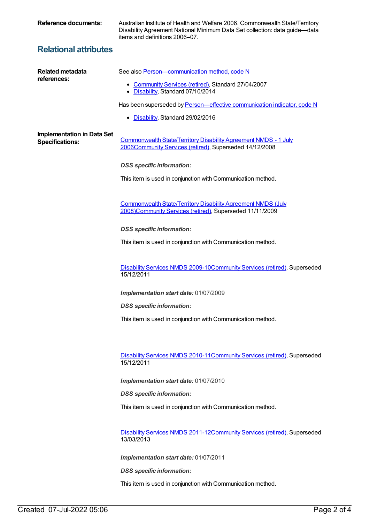**Reference documents:** Australian Institute of Health and Welfare 2006. Commonwealth State/Territory Disability Agreement National Minimum Data Set collection: data guide—data items and definitions 2006–07.

# **Relational attributes**

| Related metadata<br>references:                             | See also Person-communication method, code N                                                                                    |
|-------------------------------------------------------------|---------------------------------------------------------------------------------------------------------------------------------|
|                                                             | • Community Services (retired), Standard 27/04/2007<br>• Disability, Standard 07/10/2014                                        |
|                                                             | Has been superseded by Person-effective communication indicator, code N                                                         |
|                                                             | • Disability, Standard 29/02/2016                                                                                               |
| <b>Implementation in Data Set</b><br><b>Specifications:</b> | Commonwealth State/Territory Disability Agreement NMDS - 1 July<br>2006Community Services (retired), Superseded 14/12/2008      |
|                                                             | <b>DSS</b> specific information:                                                                                                |
|                                                             | This item is used in conjunction with Communication method.                                                                     |
|                                                             | <b>Commonwealth State/Territory Disability Agreement NMDS (July</b><br>2008)Community Services (retired), Superseded 11/11/2009 |
|                                                             | <b>DSS</b> specific information:                                                                                                |
|                                                             | This item is used in conjunction with Communication method.                                                                     |
|                                                             | Disability Services NMDS 2009-10Community Services (retired), Superseded<br>15/12/2011                                          |
|                                                             | Implementation start date: 01/07/2009                                                                                           |
|                                                             | <b>DSS</b> specific information:                                                                                                |
|                                                             | This item is used in conjunction with Communication method.                                                                     |
|                                                             |                                                                                                                                 |
|                                                             | Disability Services NMDS 2010-11 Community Services (retired), Superseded<br>15/12/2011                                         |
|                                                             | Implementation start date: 01/07/2010                                                                                           |
|                                                             | <b>DSS</b> specific information:                                                                                                |
|                                                             | This item is used in conjunction with Communication method.                                                                     |
|                                                             | Disability Services NMDS 2011-12Community Services (retired), Superseded<br>13/03/2013                                          |
|                                                             | Implementation start date: 01/07/2011                                                                                           |
|                                                             | <b>DSS</b> specific information:                                                                                                |
|                                                             | This item is used in conjunction with Communication method.                                                                     |